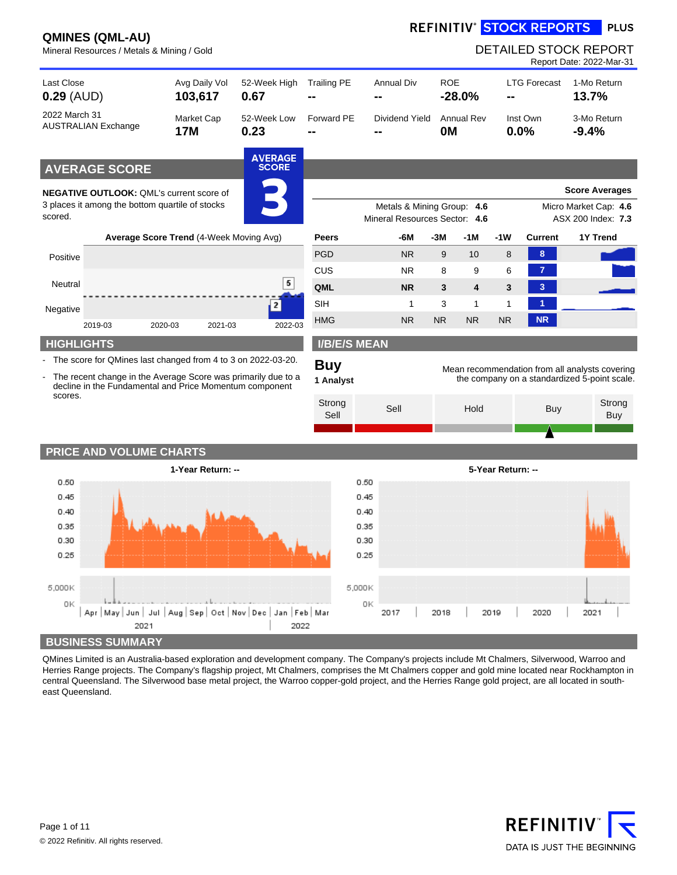# REFINITIV<sup>®</sup> STOCK REPORTS PLUS

|                            |                            | Mineral Resources / Metals & Mining / Gold                                                                                                                                                                                                                                                              |                                |                         |              |                                                             |      |                         |                   | <b>DETAILED STOCK REPORT</b>                                                                   |         | Report Date: 2022-Mar-31                    |
|----------------------------|----------------------------|---------------------------------------------------------------------------------------------------------------------------------------------------------------------------------------------------------------------------------------------------------------------------------------------------------|--------------------------------|-------------------------|--------------|-------------------------------------------------------------|------|-------------------------|-------------------|------------------------------------------------------------------------------------------------|---------|---------------------------------------------|
| Last Close<br>$0.29$ (AUD) |                            | Avg Daily Vol<br>103,617                                                                                                                                                                                                                                                                                | 52-Week High<br>0.67           | <b>Trailing PE</b>      |              | <b>Annual Div</b>                                           |      | <b>ROE</b><br>$-28.0%$  |                   | <b>LTG Forecast</b>                                                                            | 13.7%   | 1-Mo Return                                 |
| 2022 March 31              | <b>AUSTRALIAN Exchange</b> | <b>Market Cap</b><br><b>17M</b>                                                                                                                                                                                                                                                                         | 52-Week Low<br>0.23            | Forward PE              |              | Dividend Yield                                              |      | <b>Annual Rev</b><br>0M |                   | Inst Own<br>0.0%                                                                               | $-9.4%$ | 3-Mo Return                                 |
|                            | <b>AVERAGE SCORE</b>       |                                                                                                                                                                                                                                                                                                         | <b>AVERAGE</b><br><b>SCORE</b> |                         |              |                                                             |      |                         |                   |                                                                                                |         |                                             |
|                            |                            | <b>NEGATIVE OUTLOOK: QML's current score of</b>                                                                                                                                                                                                                                                         |                                |                         |              |                                                             |      |                         |                   |                                                                                                |         | <b>Score Averages</b>                       |
| scored.                    |                            | 3 places it among the bottom quartile of stocks                                                                                                                                                                                                                                                         |                                |                         |              | Metals & Mining Group: 4.6<br>Mineral Resources Sector: 4.6 |      |                         |                   |                                                                                                |         | Micro Market Cap: 4.6<br>ASX 200 Index: 7.3 |
|                            |                            | Average Score Trend (4-Week Moving Avg)                                                                                                                                                                                                                                                                 |                                | <b>Peers</b>            |              | -6M                                                         | -3M  | -1 M                    | -1W               | Current                                                                                        |         | <b>1Y Trend</b>                             |
| Positive                   |                            |                                                                                                                                                                                                                                                                                                         |                                | <b>PGD</b>              |              | <b>NR</b>                                                   | 9    | 10                      | 8                 | 8                                                                                              |         |                                             |
| Neutral                    |                            |                                                                                                                                                                                                                                                                                                         | 5                              | CUS                     |              | NR.                                                         | 8    | 9                       | 6                 | $\overline{7}$                                                                                 |         |                                             |
|                            |                            |                                                                                                                                                                                                                                                                                                         |                                | QML                     |              | <b>NR</b>                                                   | 3    | 4                       | 3                 | 3                                                                                              |         |                                             |
| Negative                   |                            |                                                                                                                                                                                                                                                                                                         | 2                              | <b>SIH</b>              |              | 1                                                           | 3    | 1                       | 1                 | $\blacktriangleleft$                                                                           |         |                                             |
|                            | 2019-03                    | 2020-03<br>2021-03                                                                                                                                                                                                                                                                                      | 2022-03                        | <b>HMG</b>              |              | <b>NR</b>                                                   | NR.  | <b>NR</b>               | <b>NR</b>         | <b>NR</b>                                                                                      |         |                                             |
|                            | <b>HIGHLIGHTS</b>          |                                                                                                                                                                                                                                                                                                         |                                | <b>I/B/E/S MEAN</b>     |              |                                                             |      |                         |                   |                                                                                                |         |                                             |
|                            |                            | - The score for QMines last changed from 4 to 3 on 2022-03-20.<br>The recent change in the Average Score was primarily due to a<br>decline in the Fundamental and Price Momentum component                                                                                                              |                                | <b>Buy</b><br>1 Analyst |              |                                                             |      |                         |                   | Mean recommendation from all analysts covering<br>the company on a standardized 5-point scale. |         |                                             |
| scores.                    |                            |                                                                                                                                                                                                                                                                                                         |                                | Strong<br>Sell          |              | Sell                                                        |      | Hold                    |                   | <b>Buy</b>                                                                                     |         | Strong<br><b>Buy</b>                        |
|                            | PRICE AND VOLUME CHARTS    |                                                                                                                                                                                                                                                                                                         |                                |                         |              |                                                             |      |                         |                   |                                                                                                |         |                                             |
|                            |                            | 1-Year Return: --                                                                                                                                                                                                                                                                                       |                                |                         |              |                                                             |      |                         | 5-Year Return: -- |                                                                                                |         |                                             |
| 0.50                       |                            |                                                                                                                                                                                                                                                                                                         |                                |                         | 0.50         |                                                             |      |                         |                   |                                                                                                |         |                                             |
| 0.45                       |                            |                                                                                                                                                                                                                                                                                                         |                                |                         | 0.45         |                                                             |      |                         |                   |                                                                                                |         |                                             |
| 0.40<br>0.35               |                            |                                                                                                                                                                                                                                                                                                         |                                |                         | 0.40<br>0.35 |                                                             |      |                         |                   |                                                                                                |         |                                             |
| 0.30                       |                            |                                                                                                                                                                                                                                                                                                         |                                |                         | 0.30         |                                                             |      |                         |                   |                                                                                                |         |                                             |
| 0.25                       |                            |                                                                                                                                                                                                                                                                                                         |                                |                         | 0.25         |                                                             |      |                         |                   |                                                                                                |         |                                             |
| 5,000K                     |                            |                                                                                                                                                                                                                                                                                                         |                                |                         | 5,000K       |                                                             |      |                         |                   |                                                                                                |         |                                             |
| OΚ                         |                            |                                                                                                                                                                                                                                                                                                         |                                |                         | ΟK           |                                                             |      |                         |                   |                                                                                                |         |                                             |
|                            |                            | Apr   May   Jun   Jul   Aug   Sep   Oct   Nov   Dec   Jan   Feb   Mar<br>2021                                                                                                                                                                                                                           | 2022                           |                         |              | 2017                                                        | 2018 |                         | 2019              | 2020                                                                                           | 2021    |                                             |
|                            | <b>BUSINESS SUMMARY</b>    |                                                                                                                                                                                                                                                                                                         |                                |                         |              |                                                             |      |                         |                   |                                                                                                |         |                                             |
|                            |                            | QMines Limited is an Australia-based exploration and development company. The Company's projects include Mt Chalmers, Silverwood, Warroo and                                                                                                                                                            |                                |                         |              |                                                             |      |                         |                   |                                                                                                |         |                                             |
| east Queensland.           |                            | Herries Range projects. The Company's flagship project, Mt Chalmers, comprises the Mt Chalmers copper and gold mine located near Rockhampton in<br>central Queensland. The Silverwood base metal project, the Warroo copper-gold project, and the Herries Range gold project, are all located in south- |                                |                         |              |                                                             |      |                         |                   |                                                                                                |         |                                             |

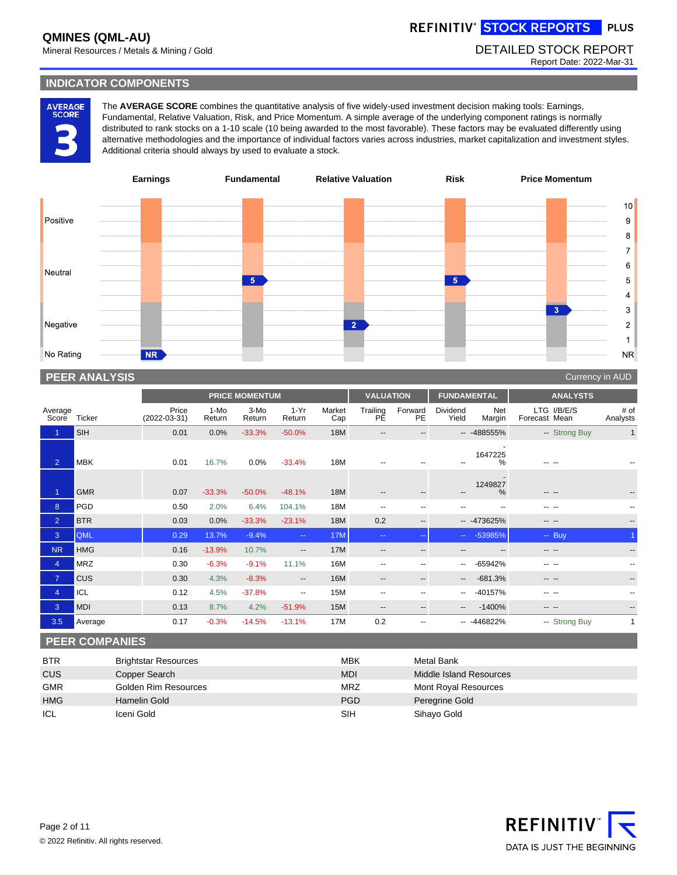REFINITIV<sup>®</sup> STOCK REPORTS PLUS

Mineral Resources / Metals & Mining / Gold DETAILED STOCK REPORT

Report Date: 2022-Mar-31

### **INDICATOR COMPONENTS**

AVERAGE<br>SCORE

The **AVERAGE SCORE** combines the quantitative analysis of five widely-used investment decision making tools: Earnings, Fundamental, Relative Valuation, Risk, and Price Momentum. A simple average of the underlying component ratings is normally distributed to rank stocks on a 1-10 scale (10 being awarded to the most favorable). These factors may be evaluated differently using alternative methodologies and the importance of individual factors varies across industries, market capitalization and investment styles. Additional criteria should always by used to evaluate a stock.



# **PEER ANALYSIS** Currency in AUD AND THE RESERVE EXPERIMENT OF THE RESERVE EXPERIMENT OF THE RESERVE EXPERIMENT OF THE RESERVE EXPERIMENT OF THE RESERVE EXPERIMENT OF THE RESERVE EXPEDITION OF THE RESERVE EXPEDITION OF THE

|                  |               |                         |                | <b>PRICE MOMENTUM</b> |                          |               | <b>VALUATION</b>         |                          | <b>FUNDAMENTAL</b>           |               | <b>ANALYSTS</b>              |                  |
|------------------|---------------|-------------------------|----------------|-----------------------|--------------------------|---------------|--------------------------|--------------------------|------------------------------|---------------|------------------------------|------------------|
| Average<br>Score | <b>Ticker</b> | Price<br>$(2022-03-31)$ | 1-Mo<br>Return | 3-Mo<br>Return        | $1-Yr$<br>Return         | Market<br>Cap | Trailing<br>PE           | Forward<br>PE            | Dividend<br>Yield            | Net<br>Margin | LTG I/B/E/S<br>Forecast Mean | # of<br>Analysts |
|                  | <b>SIH</b>    | 0.01                    | 0.0%           | $-33.3%$              | $-50.0%$                 | 18M           | $\qquad \qquad -$        |                          |                              | $-488555\%$   | -- Strong Buy                | $\mathbf{1}$     |
| $\overline{2}$   | <b>MBK</b>    | 0.01                    | 16.7%          | 0.0%                  | $-33.4%$                 | 18M           |                          |                          |                              | 1647225<br>%  |                              |                  |
|                  | <b>GMR</b>    | 0.07                    | $-33.3%$       | $-50.0\%$             | $-48.1%$                 | 18M           | $\qquad \qquad -$        | $\overline{\phantom{a}}$ | $\qquad \qquad \cdots$       | 1249827<br>%  | --                           |                  |
| $\overline{8}$   | <b>PGD</b>    | 0.50                    | 2.0%           | 6.4%                  | 104.1%                   | 18M           | $- -$                    |                          |                              | --            |                              |                  |
| $\overline{2}$   | <b>BTR</b>    | 0.03                    | 0.0%           | $-33.3%$              | $-23.1%$                 | 18M           | 0.2                      | $\overline{\phantom{a}}$ |                              | $-473625%$    | -- --                        |                  |
| 3                | <b>QML</b>    | 0.29                    | 13.7%          | $-9.4%$               | $\sim$ $\sim$            | <b>17M</b>    | $\sim$ $\sim$            | --                       | $\Delta \Delta \sim 10^{-1}$ | -53985%       | $-$ Buy                      |                  |
| <b>NR</b>        | <b>HMG</b>    | 0.16                    | $-13.9%$       | 10.7%                 | $\overline{\phantom{a}}$ | 17M           | $- -$                    | --                       |                              |               |                              |                  |
| $\overline{4}$   | <b>MRZ</b>    | 0.30                    | $-6.3%$        | $-9.1%$               | 11.1%                    | 16M           | $\overline{\phantom{a}}$ |                          | $\overline{\phantom{a}}$     | -65942%       |                              |                  |
| $\overline{7}$   | <b>CUS</b>    | 0.30                    | 4.3%           | $-8.3%$               | $\overline{\phantom{a}}$ | 16M           | $\qquad \qquad -$        | --                       | $\overline{\phantom{a}}$     | $-681.3%$     | -- --                        | $- -$            |
| $\overline{4}$   | ICL           | 0.12                    | 4.5%           | $-37.8%$              | $- -$                    | 15M           | $\overline{\phantom{a}}$ |                          | $\overline{\phantom{a}}$     | -40157%       |                              |                  |
| 3                | <b>MDI</b>    | 0.13                    | 8.7%           | 4.2%                  | $-51.9%$                 | 15M           | $\qquad \qquad -$        | $- -$                    | $- -$                        | $-1400%$      | -- --                        | $- -$            |
| 3.5              | Average       | 0.17                    | $-0.3%$        | $-14.5%$              | $-13.1%$                 | 17M           | 0.2                      |                          |                              | $-446822%$    | -- Strong Buy                | $\mathbf{1}$     |

## **PEER COMPANIES**

| <b>BTR</b> | <b>Brightstar Resources</b> | <b>MBK</b> | Metal Bank              |
|------------|-----------------------------|------------|-------------------------|
| CUS        | Copper Search               | <b>MDI</b> | Middle Island Resources |
| <b>GMR</b> | Golden Rim Resources        | <b>MRZ</b> | Mont Royal Resources    |
| <b>HMG</b> | Hamelin Gold                | <b>PGD</b> | Peregrine Gold          |
| ICL        | Iceni Gold                  | SIH        | Sihayo Gold             |

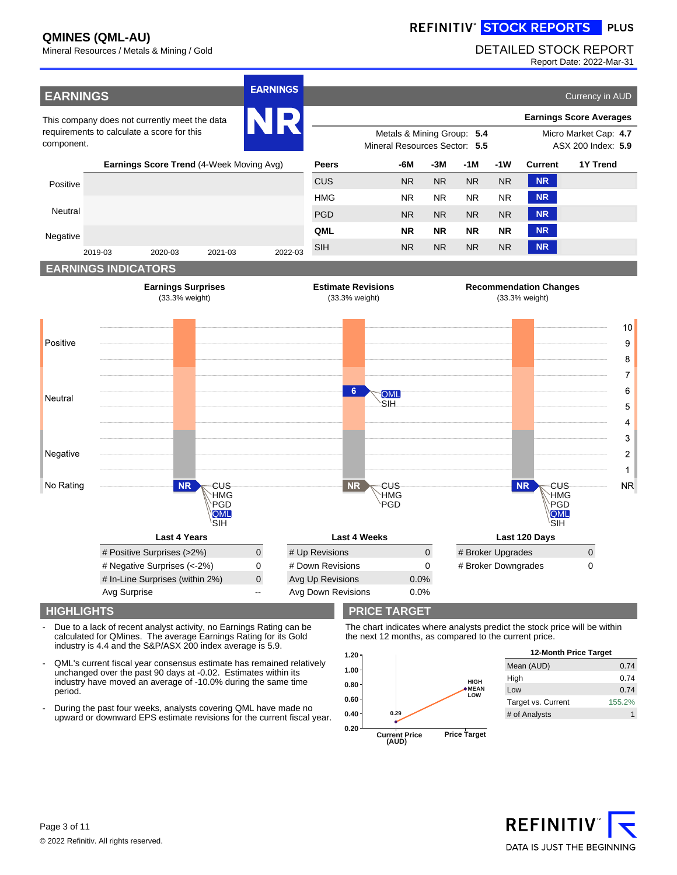REFINITIV<sup>®</sup> STOCK REPORTS PLUS

# Mineral Resources / Metals & Mining / Gold DETAILED STOCK REPORT

Report Date: 2022-Mar-31



- Due to a lack of recent analyst activity, no Earnings Rating can be calculated for QMines. The average Earnings Rating for its Gold industry is 4.4 and the S&P/ASX 200 index average is 5.9.
- QML's current fiscal year consensus estimate has remained relatively unchanged over the past 90 days at -0.02. Estimates within its industry have moved an average of -10.0% during the same time period.
- During the past four weeks, analysts covering QML have made no upward or downward EPS estimate revisions for the current fiscal year.

### **HIGHLIGHTS PRICE TARGET**

The chart indicates where analysts predict the stock price will be within the next 12 months, as compared to the current price.



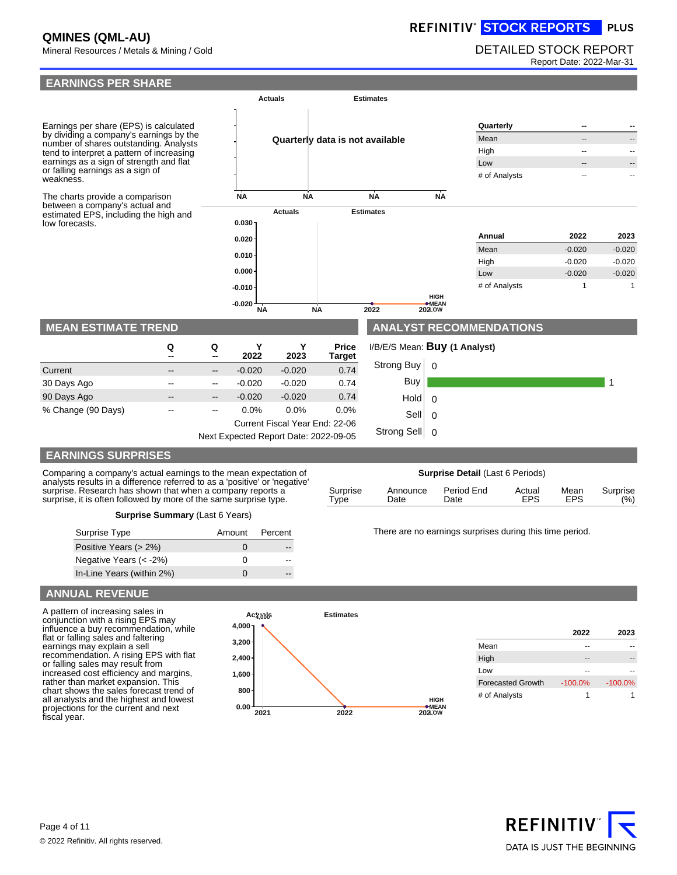# REFINITIV<sup>®</sup> STOCK REPORTS PLUS

# Mineral Resources / Metals & Mining / Gold DETAILED STOCK REPORT

Report Date: 2022-Mar-31



# **EARNINGS SURPRISES**

| Comparing a company's actual earnings to the mean expectation of                                                                                                                                              | <b>Surprise Detail (Last 6 Periods)</b> |                  |                    |                      |             |                   |  |
|---------------------------------------------------------------------------------------------------------------------------------------------------------------------------------------------------------------|-----------------------------------------|------------------|--------------------|----------------------|-------------|-------------------|--|
| analysts results in a difference referred to as a 'positive' or 'negative'<br>surprise. Research has shown that when a company reports a<br>surprise, it is often followed by more of the same surprise type. | Surprise<br>'vpe                        | Announce<br>Date | Period End<br>Date | Actual<br><b>EPS</b> | Mean<br>EPS | Surprise<br>(9/6) |  |

|  | Surprise Summary (Last 6 Years) |  |  |
|--|---------------------------------|--|--|
|--|---------------------------------|--|--|

| Surprise Type             | Amount       | Percent |
|---------------------------|--------------|---------|
| Positive Years (> 2%)     | $\mathbf{I}$ |         |
| Negative Years $(< -2\%)$ | ∩            |         |
| In-Line Years (within 2%) | n            |         |

### There are no earnings surprises during this time period.

### **ANNUAL REVENUE**

A pattern of increasing sales in conjunction with a rising EPS may influence a buy recommendation, while flat or falling sales and faltering earnings may explain a sell recommendation. A rising EPS with flat or falling sales may result from increased cost efficiency and margins, rather than market expansion. This chart shows the sales forecast trend of all analysts and the highest and lowest projections for the current and next fiscal year.



|                          | 2022       | 2023       |
|--------------------------|------------|------------|
| Mean                     |            |            |
| High                     |            |            |
| Low                      |            |            |
| <b>Forecasted Growth</b> | $-100.0\%$ | $-100.0\%$ |
| # of Analysts            | 1          |            |

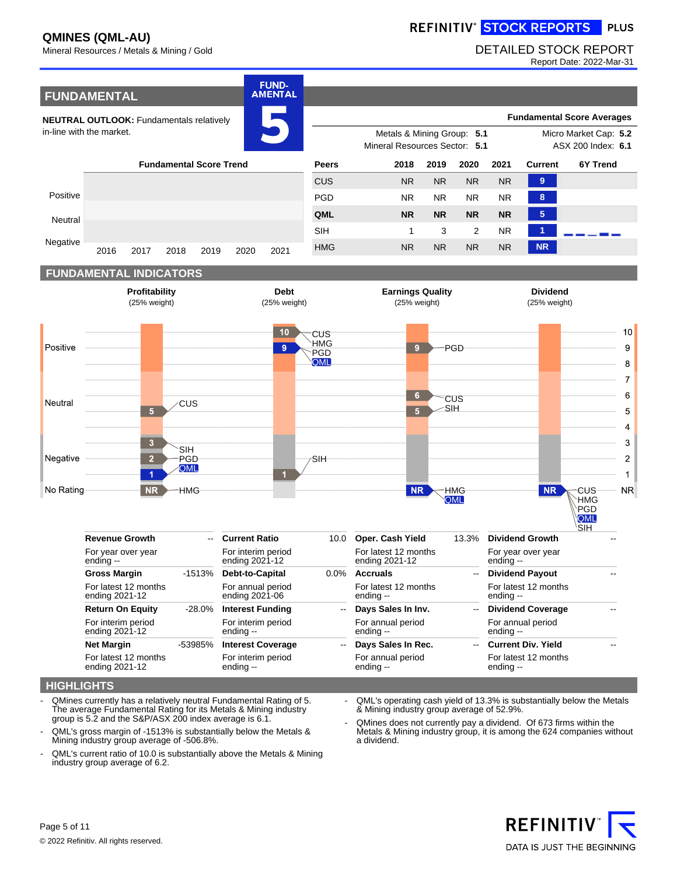# REFINITIV<sup>®</sup> STOCK REPORTS PLUS

# Mineral Resources / Metals & Mining / Gold DETAILED STOCK REPORT

Report Date: 2022-Mar-31



### **HIGHLIGHTS**

- QMines currently has a relatively neutral Fundamental Rating of 5. The average Fundamental Rating for its Metals & Mining industry group is 5.2 and the S&P/ASX 200 index average is 6.1.
- QML's gross margin of -1513% is substantially below the Metals & Mining industry group average of -506.8%.
- QML's current ratio of 10.0 is substantially above the Metals & Mining industry group average of 6.2.
- QML's operating cash yield of 13.3% is substantially below the Metals & Mining industry group average of 52.9%.
- QMines does not currently pay a dividend. Of 673 firms within the Metals & Mining industry group, it is among the 624 companies without a dividend.

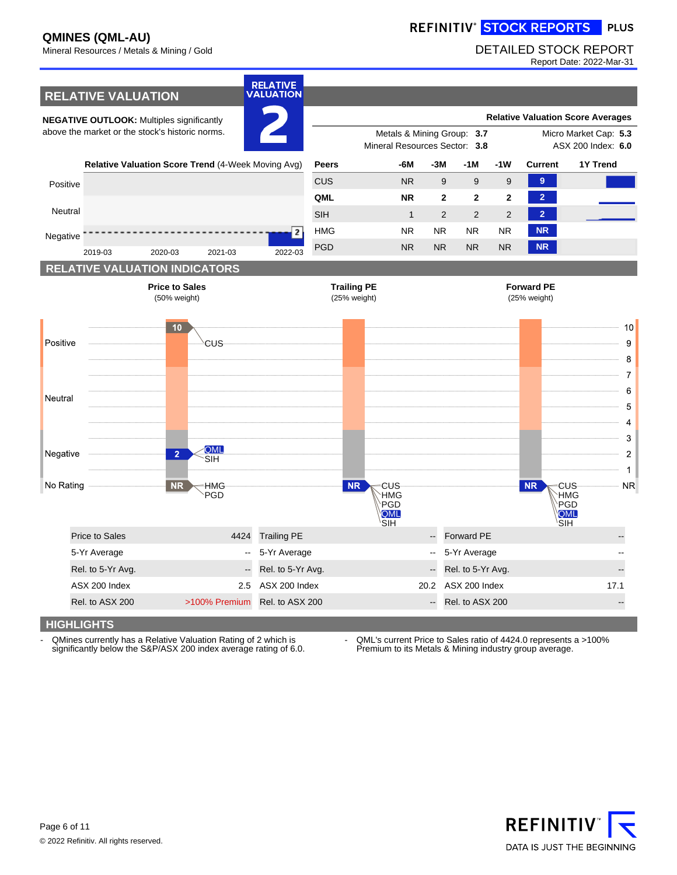# REFINITIV<sup>®</sup> STOCK REPORTS PLUS

# Mineral Resources / Metals & Mining / Gold DETAILED STOCK REPORT

Report Date: 2022-Mar-31



- QMines currently has a Relative Valuation Rating of 2 which is significantly below the S&P/ASX 200 index average rating of 6.0. - QML's current Price to Sales ratio of 4424.0 represents a >100% Premium to its Metals & Mining industry group average.

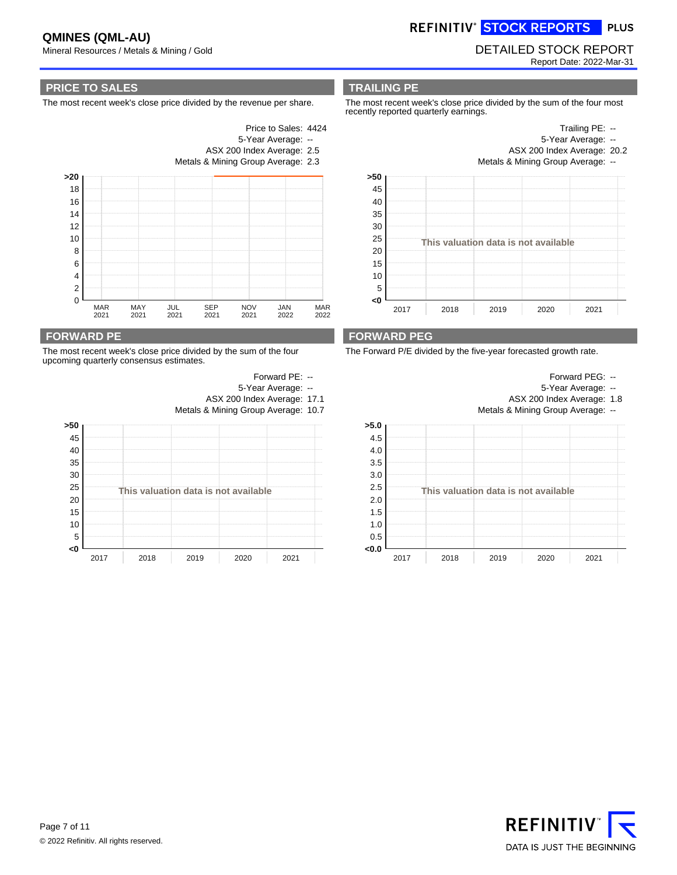REFINITIV<sup>®</sup> STOCK REPORTS PLUS

### Mineral Resources / Metals & Mining / Gold DETAILED STOCK REPORT Report Date: 2022-Mar-31

### **PRICE TO SALES**

The most recent week's close price divided by the revenue per share.



### **FORWARD PE**

The most recent week's close price divided by the sum of the four upcoming quarterly consensus estimates.



### **TRAILING PE**

Price to Sales: 4424 5-Year Average: --

The most recent week's close price divided by the sum of the four most recently reported quarterly earnings.



### **FORWARD PEG**

The Forward P/E divided by the five-year forecasted growth rate.



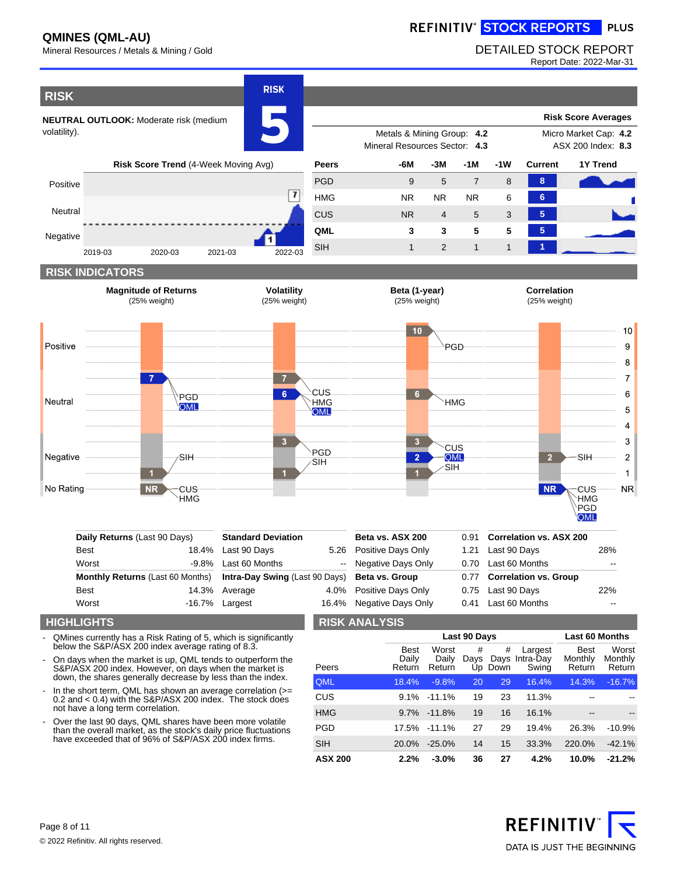# REFINITIV<sup>®</sup> STOCK REPORTS PLUS

# Mineral Resources / Metals & Mining / Gold DETAILED STOCK REPORT

Report Date: 2022-Mar-31



### **HIGHLIGHTS**

QMines currently has a Risk Rating of 5, which is significantly below the S&P/ASX 200 index average rating of 8.3.

Worst -16.7%

- On days when the market is up, QML tends to outperform the S&P/ASX 200 index. However, on days when the market is down, the shares generally decrease by less than the index.
- In the short term, QML has shown an average correlation (>= 0.2 and < 0.4) with the S&P/ASX 200 index. The stock does not have a long term correlation.
- Over the last 90 days, QML shares have been more volatile than the overall market, as the stock's daily price fluctuations have exceeded that of 96% of S&P/ASX 200 index firms.

### **RISK ANALYSIS**

Negative Days Only 0.41

Largest 16.4%

|                |                                | Last 90 Days             | <b>Last 60 Months</b> |              |                                    |                                  |                            |
|----------------|--------------------------------|--------------------------|-----------------------|--------------|------------------------------------|----------------------------------|----------------------------|
| Peers          | <b>Best</b><br>Daily<br>Return | Worst<br>Daily<br>Return | #<br>Days             | #<br>Up Down | Largest<br>Days Intra-Day<br>Swing | <b>Best</b><br>Monthly<br>Return | Worst<br>Monthly<br>Return |
| <b>QML</b>     | 18.4%                          | $-9.8%$                  | 20                    | 29           | 16.4%                              | 14.3%                            | $-16.7%$                   |
| <b>CUS</b>     | $9.1\%$                        | $-11.1\%$                | 19                    | 23           | 11.3%                              |                                  |                            |
| <b>HMG</b>     | 9.7%                           | $-11.8%$                 | 19                    | 16           | 16.1%                              | --                               |                            |
| <b>PGD</b>     | 17.5%                          | $-11.1\%$                | 27                    | 29           | 19.4%                              | 26.3%                            | $-10.9%$                   |
| <b>SIH</b>     | 20.0%                          | $-25.0%$                 | 14                    | 15           | 33.3%                              | 220.0%                           | $-42.1%$                   |
| <b>ASX 200</b> | 2.2%                           | $-3.0%$                  | 36                    | 27           | 4.2%                               | 10.0%                            | $-21.2%$                   |

Last 60 Months

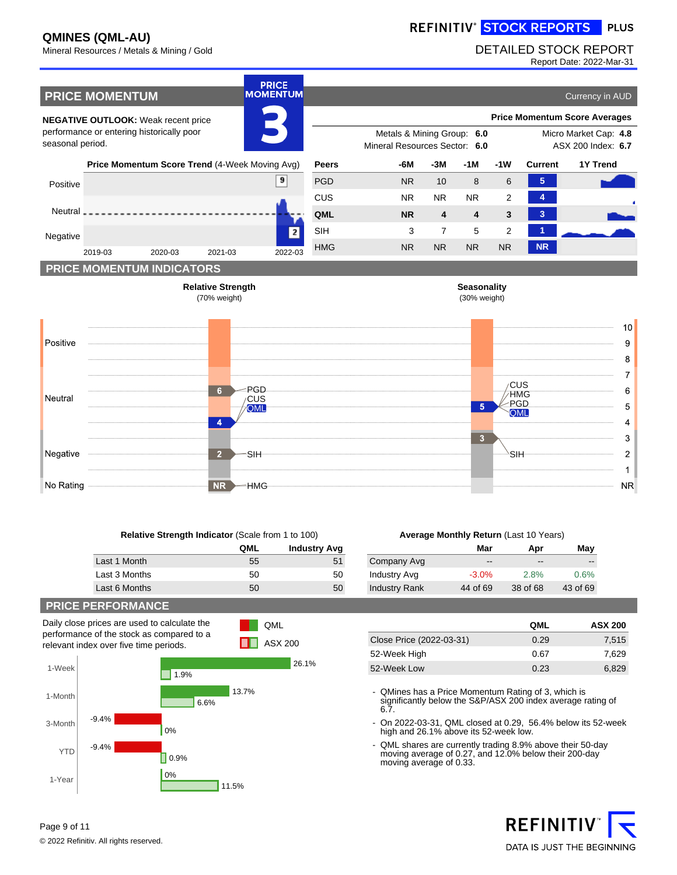REFINITIV<sup>®</sup> STOCK REPORTS PLUS

## Mineral Resources / Metals & Mining / Gold DETAILED STOCK REPORT

Report Date: 2022-Mar-31



| <b>Relative Strength Indicator (Scale from 1 to 100)</b> |     |                     |  |  |
|----------------------------------------------------------|-----|---------------------|--|--|
|                                                          | QML | <b>Industry Avg</b> |  |  |
| Last 1 Month                                             | 55  | 51                  |  |  |
| Last 3 Months                                            | 50  | 50                  |  |  |
| Last 6 Months                                            | 50  | 50                  |  |  |

 $NR$ 

**HMG** 

QML ASX 200

### **Average Monthly Return** (Last 10 Years)

|                      | Mar      | Apr      | May      |
|----------------------|----------|----------|----------|
| Company Avg          | --       | --       | --       |
| <b>Industry Avg</b>  | $-3.0%$  | 2.8%     | 0.6%     |
| <b>Industry Rank</b> | 44 of 69 | 38 of 68 | 43 of 69 |

### **PRICE PERFORMANCE**

No Rating

Daily close prices are used to calculate the performance of the stock as compared to a relevant index over five time periods.



|                          | QML  | <b>ASX 200</b> |
|--------------------------|------|----------------|
| Close Price (2022-03-31) | 0.29 | 7,515          |
| 52-Week High             | 0.67 | 7.629          |
| 52-Week Low              | 0.23 | 6.829          |

- QMines has a Price Momentum Rating of 3, which is significantly below the S&P/ASX 200 index average rating of 6.7.

- On 2022-03-31, QML closed at 0.29, 56.4% below its 52-week high and 26.1% above its 52-week low.

- QML shares are currently trading 8.9% above their 50-day moving average of 0.27, and 12.0% below their 200-day moving average of 0.33.



 $NR$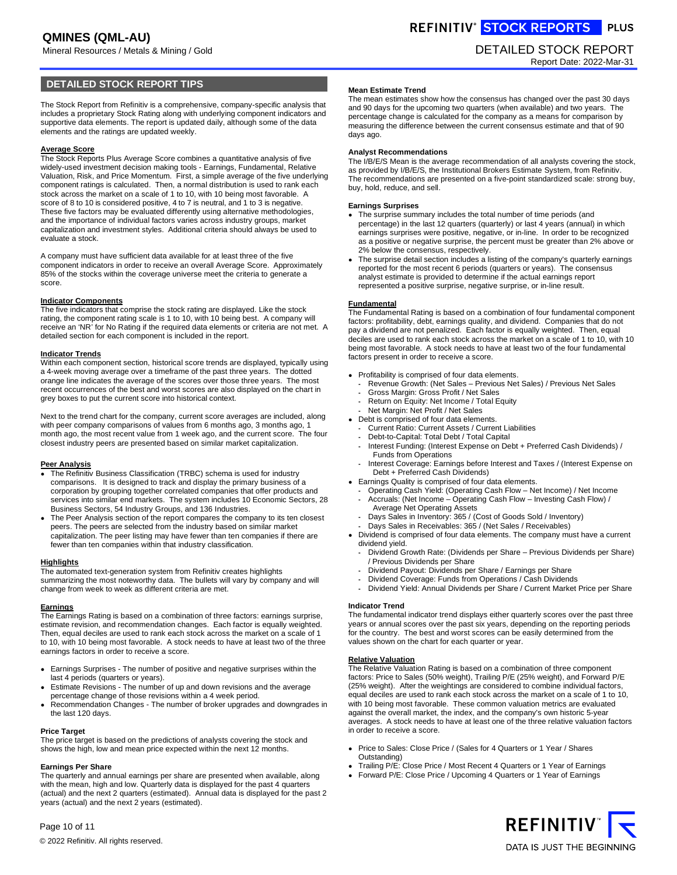Mineral Resources / Metals & Mining / Gold DETAILED STOCK REPORT

### **DETAILED STOCK REPORT TIPS**

The Stock Report from Refinitiv is a comprehensive, company-specific analysis that includes a proprietary Stock Rating along with underlying component indicators and supportive data elements. The report is updated daily, although some of the data elements and the ratings are updated weekly.

#### **Average Score**

The Stock Reports Plus Average Score combines a quantitative analysis of five widely-used investment decision making tools - Earnings, Fundamental, Relative Valuation, Risk, and Price Momentum. First, a simple average of the five underlying component ratings is calculated. Then, a normal distribution is used to rank each stock across the market on a scale of 1 to 10, with 10 being most favorable. A score of 8 to 10 is considered positive, 4 to 7 is neutral, and 1 to 3 is negative. These five factors may be evaluated differently using alternative methodologies, and the importance of individual factors varies across industry groups, market capitalization and investment styles. Additional criteria should always be used to evaluate a stock.

A company must have sufficient data available for at least three of the five component indicators in order to receive an overall Average Score. Approximately 85% of the stocks within the coverage universe meet the criteria to generate a score.

#### **Indicator Components**

The five indicators that comprise the stock rating are displayed. Like the stock rating, the component rating scale is 1 to 10, with 10 being best. A company will receive an 'NR' for No Rating if the required data elements or criteria are not met. A detailed section for each component is included in the report.

#### **Indicator Trends**

Within each component section, historical score trends are displayed, typically using a 4-week moving average over a timeframe of the past three years. The dotted orange line indicates the average of the scores over those three years. The most recent occurrences of the best and worst scores are also displayed on the chart in grey boxes to put the current score into historical context.

Next to the trend chart for the company, current score averages are included, along with peer company comparisons of values from 6 months ago, 3 months ago, 1 month ago, the most recent value from 1 week ago, and the current score. The four closest industry peers are presented based on similar market capitalization.

#### **Peer Analysis**

- The Refinitiv Business Classification (TRBC) schema is used for industry comparisons. It is designed to track and display the primary business of a corporation by grouping together correlated companies that offer products and services into similar end markets. The system includes 10 Economic Sectors, 28 Business Sectors, 54 Industry Groups, and 136 Industries.
- The Peer Analysis section of the report compares the company to its ten closest peers. The peers are selected from the industry based on similar market capitalization. The peer listing may have fewer than ten companies if there are fewer than ten companies within that industry classification.

#### **Highlights**

The automated text-generation system from Refinitiv creates highlights summarizing the most noteworthy data. The bullets will vary by company and will change from week to week as different criteria are met.

**Earnings** The Earnings Rating is based on a combination of three factors: earnings surprise, estimate revision, and recommendation changes. Each factor is equally weighted. Then, equal deciles are used to rank each stock across the market on a scale of 1 to 10, with 10 being most favorable. A stock needs to have at least two of the three earnings factors in order to receive a score.

Earnings Surprises - The number of positive and negative surprises within the last 4 periods (quarters or years).

Estimate Revisions - The number of up and down revisions and the average percentage change of those revisions within a 4 week period.

Recommendation Changes - The number of broker upgrades and downgrades in the last 120 days.

#### **Price Target**

The price target is based on the predictions of analysts covering the stock and shows the high, low and mean price expected within the next 12 months.

### **Earnings Per Share**

Page 10 of 11

The quarterly and annual earnings per share are presented when available, along with the mean, high and low. Quarterly data is displayed for the past 4 quarters (actual) and the next 2 quarters (estimated). Annual data is displayed for the past 2 years (actual) and the next 2 years (estimated).

REFINITIV<sup>®</sup> STOCK REPORTS PLUS

# Report Date: 2022-Mar-31

#### **Mean Estimate Trend**

The mean estimates show how the consensus has changed over the past 30 days and 90 days for the upcoming two quarters (when available) and two years. The percentage change is calculated for the company as a means for comparison by measuring the difference between the current consensus estimate and that of 90 days ago.

#### **Analyst Recommendations**

The I/B/E/S Mean is the average recommendation of all analysts covering the stock, as provided by I/B/E/S, the Institutional Brokers Estimate System, from Refinitiv. The recommendations are presented on a five-point standardized scale: strong buy, buy, hold, reduce, and sell.

#### **Earnings Surprises**

The surprise summary includes the total number of time periods (and percentage) in the last 12 quarters (quarterly) or last 4 years (annual) in which earnings surprises were positive, negative, or in-line. In order to be recognized as a positive or negative surprise, the percent must be greater than 2% above or 2% below the consensus, respectively.

The surprise detail section includes a listing of the company's quarterly earnings reported for the most recent 6 periods (quarters or years). The consensus analyst estimate is provided to determine if the actual earnings report represented a positive surprise, negative surprise, or in-line result.

#### **Fundamental**

The Fundamental Rating is based on a combination of four fundamental component factors: profitability, debt, earnings quality, and dividend. Companies that do not pay a dividend are not penalized. Each factor is equally weighted. Then, equal deciles are used to rank each stock across the market on a scale of 1 to 10, with 10 being most favorable. A stock needs to have at least two of the four fundamental factors present in order to receive a score.

Profitability is comprised of four data elements.

- Revenue Growth: (Net Sales Previous Net Sales) / Previous Net Sales
- Gross Margin: Gross Profit / Net Sales
- Return on Equity: Net Income / Total Equity
- Net Margin: Net Profit / Net Sales
- Debt is comprised of four data elements.
- Current Ratio: Current Assets / Current Liabilities
- Debt-to-Capital: Total Debt / Total Capital
- Interest Funding: (Interest Expense on Debt + Preferred Cash Dividends) / Funds from Operations
- Interest Coverage: Earnings before Interest and Taxes / (Interest Expense on Debt + Preferred Cash Dividends)
- Earnings Quality is comprised of four data elements.
- Operating Cash Yield: (Operating Cash Flow Net Income) / Net Income **-** Accruals: (Net Income – Operating Cash Flow – Investing Cash Flow) /
- Average Net Operating Assets Days Sales in Inventory: 365 / (Cost of Goods Sold / Inventory)
- Days Sales in Receivables: 365 / (Net Sales / Receivables)

Dividend is comprised of four data elements. The company must have a current dividend yield.

- Dividend Growth Rate: (Dividends per Share Previous Dividends per Share) / Previous Dividends per Share
- Dividend Payout: Dividends per Share / Earnings per Share
- Dividend Coverage: Funds from Operations / Cash Dividends
- Dividend Yield: Annual Dividends per Share / Current Market Price per Share

#### **Indicator Trend**

The fundamental indicator trend displays either quarterly scores over the past three years or annual scores over the past six years, depending on the reporting periods for the country. The best and worst scores can be easily determined from the values shown on the chart for each quarter or year.

#### **Relative Valuation**

The Relative Valuation Rating is based on a combination of three component factors: Price to Sales (50% weight), Trailing P/E (25% weight), and Forward P/E (25% weight). After the weightings are considered to combine individual factors, equal deciles are used to rank each stock across the market on a scale of 1 to 10, with 10 being most favorable. These common valuation metrics are evaluated against the overall market, the index, and the company's own historic 5-year averages. A stock needs to have at least one of the three relative valuation factors in order to receive a score.

Price to Sales: Close Price / (Sales for 4 Quarters or 1 Year / Shares Outstanding)

Trailing P/E: Close Price / Most Recent 4 Quarters or 1 Year of Earnings Forward P/E: Close Price / Upcoming 4 Quarters or 1 Year of Earnings



© 2022 Refinitiv. All rights reserved.